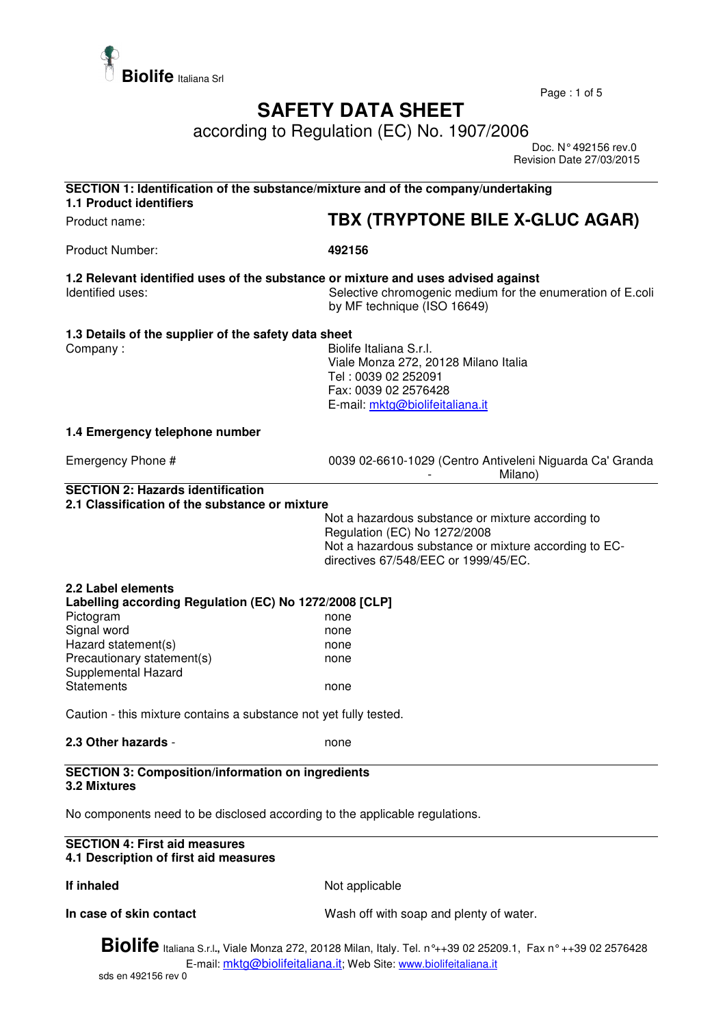

Page : 1 of 5

## **SAFETY DATA SHEET**

according to Regulation (EC) No. 1907/2006

 Doc. N° 492156 rev.0 Revision Date 27/03/2015

| SECTION 1: Identification of the substance/mixture and of the company/undertaking<br><b>1.1 Product identifiers</b>                                                                                                                                         |                                                                                                                                                                                                                    |  |
|-------------------------------------------------------------------------------------------------------------------------------------------------------------------------------------------------------------------------------------------------------------|--------------------------------------------------------------------------------------------------------------------------------------------------------------------------------------------------------------------|--|
| Product name:                                                                                                                                                                                                                                               | TBX (TRYPTONE BILE X-GLUC AGAR)                                                                                                                                                                                    |  |
| <b>Product Number:</b>                                                                                                                                                                                                                                      | 492156                                                                                                                                                                                                             |  |
| 1.2 Relevant identified uses of the substance or mixture and uses advised against<br>Identified uses:                                                                                                                                                       | Selective chromogenic medium for the enumeration of E.coli<br>by MF technique (ISO 16649)                                                                                                                          |  |
| 1.3 Details of the supplier of the safety data sheet<br>Company:                                                                                                                                                                                            | Biolife Italiana S.r.l.<br>Viale Monza 272, 20128 Milano Italia<br>Tel: 0039 02 252091<br>Fax: 0039 02 2576428<br>E-mail: mktg@biolifeitaliana.it                                                                  |  |
| 1.4 Emergency telephone number                                                                                                                                                                                                                              |                                                                                                                                                                                                                    |  |
| Emergency Phone #                                                                                                                                                                                                                                           | 0039 02-6610-1029 (Centro Antiveleni Niguarda Ca' Granda<br>Milano)                                                                                                                                                |  |
| <b>SECTION 2: Hazards identification</b><br>2.1 Classification of the substance or mixture<br>2.2 Label elements<br>Labelling according Regulation (EC) No 1272/2008 [CLP]<br>Pictogram<br>Signal word<br>Hazard statement(s)<br>Precautionary statement(s) | Not a hazardous substance or mixture according to<br>Regulation (EC) No 1272/2008<br>Not a hazardous substance or mixture according to EC-<br>directives 67/548/EEC or 1999/45/EC.<br>none<br>none<br>none<br>none |  |
| Supplemental Hazard<br><b>Statements</b>                                                                                                                                                                                                                    | none                                                                                                                                                                                                               |  |
| Caution - this mixture contains a substance not yet fully tested.                                                                                                                                                                                           |                                                                                                                                                                                                                    |  |
| 2.3 Other hazards -                                                                                                                                                                                                                                         | none                                                                                                                                                                                                               |  |
| <b>SECTION 3: Composition/information on ingredients</b><br>3.2 Mixtures                                                                                                                                                                                    |                                                                                                                                                                                                                    |  |
| No components need to be disclosed according to the applicable regulations.                                                                                                                                                                                 |                                                                                                                                                                                                                    |  |
| <b>SECTION 4: First aid measures</b><br>4.1 Description of first aid measures                                                                                                                                                                               |                                                                                                                                                                                                                    |  |
| If inhaled                                                                                                                                                                                                                                                  | Not applicable                                                                                                                                                                                                     |  |
| In case of skin contact                                                                                                                                                                                                                                     | Wash off with soap and plenty of water.                                                                                                                                                                            |  |
|                                                                                                                                                                                                                                                             |                                                                                                                                                                                                                    |  |

**Biolife** Italiana S.r.l**.,** Viale Monza 272, 20128 Milan, Italy. Tel. n°++39 02 25209.1, Fax n° ++39 02 2576428 E-mail: mktg@biolifeitaliana.it; Web Site: www.biolifeitaliana.it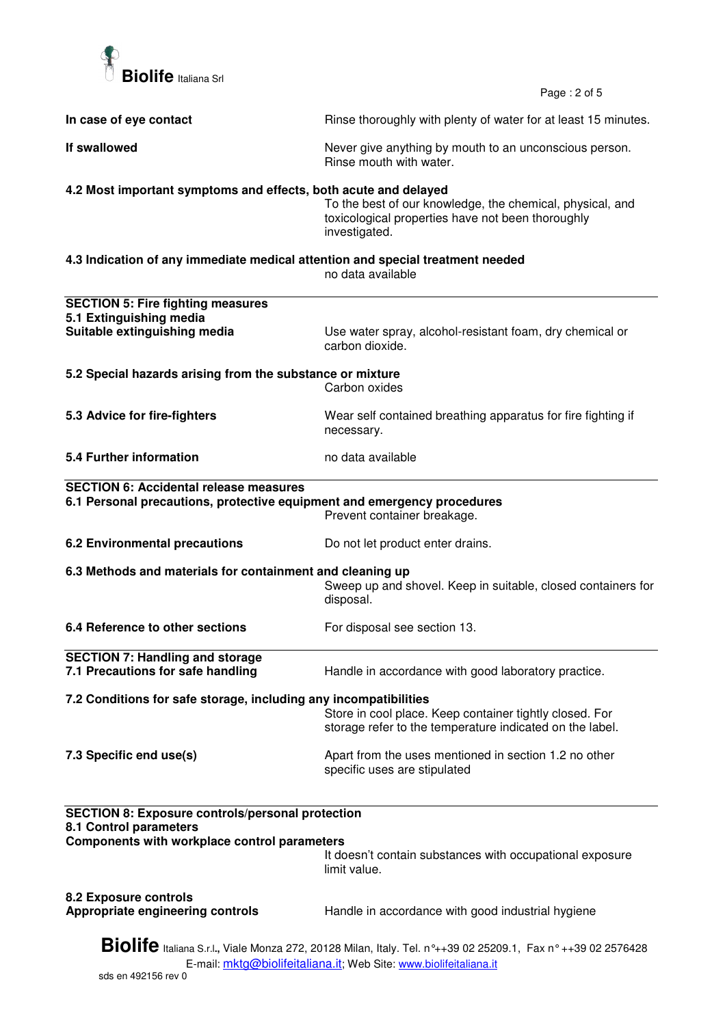

Page : 2 of 5

| In case of eye contact                                                                                                                                                                   | Rinse thoroughly with plenty of water for at least 15 minutes.                                                                  |  |  |  |
|------------------------------------------------------------------------------------------------------------------------------------------------------------------------------------------|---------------------------------------------------------------------------------------------------------------------------------|--|--|--|
| If swallowed                                                                                                                                                                             | Never give anything by mouth to an unconscious person.<br>Rinse mouth with water.                                               |  |  |  |
| 4.2 Most important symptoms and effects, both acute and delayed                                                                                                                          | To the best of our knowledge, the chemical, physical, and<br>toxicological properties have not been thoroughly<br>investigated. |  |  |  |
| 4.3 Indication of any immediate medical attention and special treatment needed<br>no data available                                                                                      |                                                                                                                                 |  |  |  |
| <b>SECTION 5: Fire fighting measures</b><br>5.1 Extinguishing media<br>Suitable extinguishing media                                                                                      | Use water spray, alcohol-resistant foam, dry chemical or<br>carbon dioxide.                                                     |  |  |  |
| 5.2 Special hazards arising from the substance or mixture<br>Carbon oxides                                                                                                               |                                                                                                                                 |  |  |  |
| 5.3 Advice for fire-fighters                                                                                                                                                             | Wear self contained breathing apparatus for fire fighting if<br>necessary.                                                      |  |  |  |
| <b>5.4 Further information</b>                                                                                                                                                           | no data available                                                                                                               |  |  |  |
| <b>SECTION 6: Accidental release measures</b><br>6.1 Personal precautions, protective equipment and emergency procedures                                                                 | Prevent container breakage.                                                                                                     |  |  |  |
| <b>6.2 Environmental precautions</b>                                                                                                                                                     | Do not let product enter drains.                                                                                                |  |  |  |
| 6.3 Methods and materials for containment and cleaning up                                                                                                                                | Sweep up and shovel. Keep in suitable, closed containers for<br>disposal.                                                       |  |  |  |
| 6.4 Reference to other sections                                                                                                                                                          | For disposal see section 13.                                                                                                    |  |  |  |
| <b>SECTION 7: Handling and storage</b><br>7.1 Precautions for safe handling                                                                                                              | Handle in accordance with good laboratory practice.                                                                             |  |  |  |
| 7.2 Conditions for safe storage, including any incompatibilities                                                                                                                         | Store in cool place. Keep container tightly closed. For<br>storage refer to the temperature indicated on the label.             |  |  |  |
| 7.3 Specific end use(s)                                                                                                                                                                  | Apart from the uses mentioned in section 1.2 no other<br>specific uses are stipulated                                           |  |  |  |
| <b>SECTION 8: Exposure controls/personal protection</b><br>8.1 Control parameters                                                                                                        |                                                                                                                                 |  |  |  |
| Components with workplace control parameters                                                                                                                                             | It doesn't contain substances with occupational exposure<br>limit value.                                                        |  |  |  |
| 8.2 Exposure controls<br>Appropriate engineering controls                                                                                                                                | Handle in accordance with good industrial hygiene                                                                               |  |  |  |
| <b>Biolife</b> Italiana S.r.l., Viale Monza 272, 20128 Milan, Italy. Tel. n°++39 02 25209.1, Fax n° ++39 02 2576428<br>E-mail: mktg@biolifeitaliana.it; Web Site: www.biolifeitaliana.it |                                                                                                                                 |  |  |  |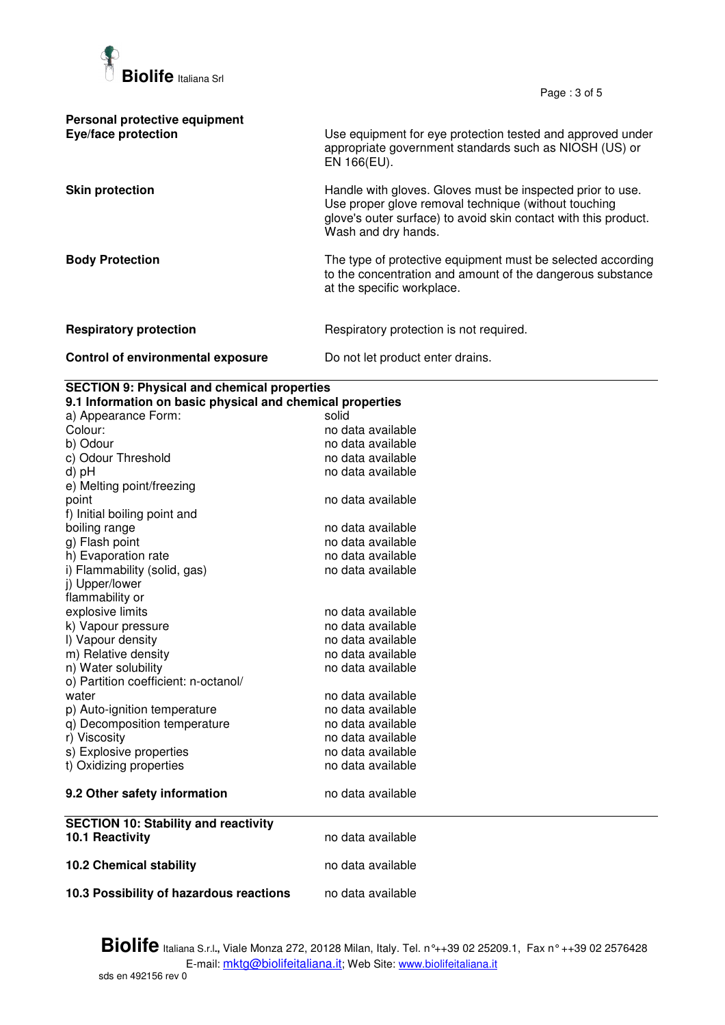

Page : 3 of 5

| Personal protective equipment<br>Eye/face protection | Use equipment for eye protection tested and approved under<br>appropriate government standards such as NIOSH (US) or<br>EN 166(EU).                                                                          |
|------------------------------------------------------|--------------------------------------------------------------------------------------------------------------------------------------------------------------------------------------------------------------|
| <b>Skin protection</b>                               | Handle with gloves. Gloves must be inspected prior to use.<br>Use proper glove removal technique (without touching<br>glove's outer surface) to avoid skin contact with this product.<br>Wash and dry hands. |
| <b>Body Protection</b>                               | The type of protective equipment must be selected according<br>to the concentration and amount of the dangerous substance<br>at the specific workplace.                                                      |
| <b>Respiratory protection</b>                        | Respiratory protection is not required.                                                                                                                                                                      |
| Control of environmental exposure                    | Do not let product enter drains.                                                                                                                                                                             |

## **SECTION 9: Physical and chemical properties**

| a) Appearance Form:                         | solid             |
|---------------------------------------------|-------------------|
| Colour:                                     | no data available |
| b) Odour                                    | no data available |
| c) Odour Threshold                          | no data available |
|                                             | no data available |
| e) Melting point/freezing                   |                   |
|                                             | no data available |
| f) Initial boiling point and                |                   |
| boiling range                               | no data available |
| g) Flash point                              | no data available |
| h) Evaporation rate                         | no data available |
| i) Flammability (solid, gas)                | no data available |
| j) Upper/lower                              |                   |
| flammability or                             |                   |
| explosive limits                            | no data available |
| k) Vapour pressure                          | no data available |
| I) Vapour density                           | no data available |
| m) Relative density                         | no data available |
| n) Water solubility                         | no data available |
| o) Partition coefficient: n-octanol/        |                   |
|                                             | no data available |
| p) Auto-ignition temperature                | no data available |
| q) Decomposition temperature                | no data available |
| r) Viscosity                                | no data available |
| s) Explosive properties                     | no data available |
| t) Oxidizing properties                     | no data available |
| 9.2 Other safety information                | no data available |
| <b>SECTION 10: Stability and reactivity</b> |                   |
| 10.1 Reactivity                             | no data available |
| <b>10.2 Chemical stability</b>              | no data available |
|                                             | no data available |
| 10.3 Possibility of hazardous reactions     |                   |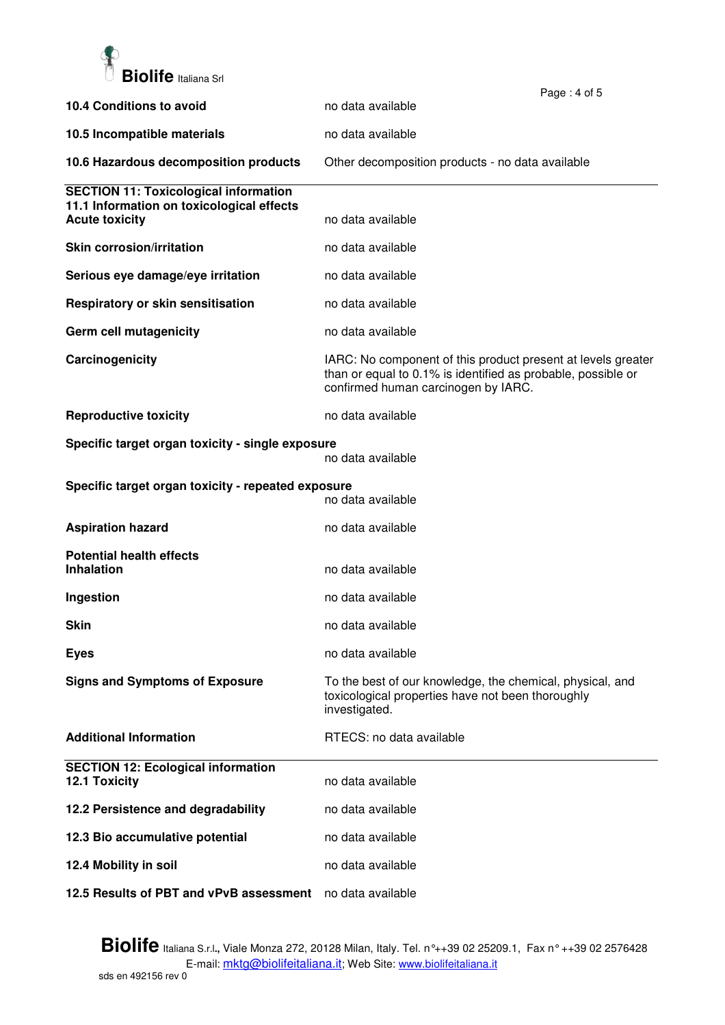

|                                                                    |                                                                                                                                                                     | Page: 4 of 5 |
|--------------------------------------------------------------------|---------------------------------------------------------------------------------------------------------------------------------------------------------------------|--------------|
| 10.4 Conditions to avoid                                           | no data available                                                                                                                                                   |              |
| 10.5 Incompatible materials                                        | no data available                                                                                                                                                   |              |
| 10.6 Hazardous decomposition products                              | Other decomposition products - no data available                                                                                                                    |              |
| <b>SECTION 11: Toxicological information</b>                       |                                                                                                                                                                     |              |
| 11.1 Information on toxicological effects<br><b>Acute toxicity</b> | no data available                                                                                                                                                   |              |
| <b>Skin corrosion/irritation</b>                                   | no data available                                                                                                                                                   |              |
| Serious eye damage/eye irritation                                  | no data available                                                                                                                                                   |              |
| Respiratory or skin sensitisation                                  | no data available                                                                                                                                                   |              |
| Germ cell mutagenicity                                             | no data available                                                                                                                                                   |              |
| Carcinogenicity                                                    | IARC: No component of this product present at levels greater<br>than or equal to 0.1% is identified as probable, possible or<br>confirmed human carcinogen by IARC. |              |
| <b>Reproductive toxicity</b>                                       | no data available                                                                                                                                                   |              |
| Specific target organ toxicity - single exposure                   | no data available                                                                                                                                                   |              |
| Specific target organ toxicity - repeated exposure                 | no data available                                                                                                                                                   |              |
| <b>Aspiration hazard</b>                                           | no data available                                                                                                                                                   |              |
| <b>Potential health effects</b><br><b>Inhalation</b>               | no data available                                                                                                                                                   |              |
|                                                                    |                                                                                                                                                                     |              |
| Ingestion                                                          | no data available                                                                                                                                                   |              |
| <b>Skin</b>                                                        | no data available                                                                                                                                                   |              |
| <b>Eyes</b>                                                        | no data available                                                                                                                                                   |              |
| <b>Signs and Symptoms of Exposure</b>                              | To the best of our knowledge, the chemical, physical, and<br>toxicological properties have not been thoroughly<br>investigated.                                     |              |
| <b>Additional Information</b>                                      | RTECS: no data available                                                                                                                                            |              |
| <b>SECTION 12: Ecological information</b><br>12.1 Toxicity         | no data available                                                                                                                                                   |              |
| 12.2 Persistence and degradability                                 | no data available                                                                                                                                                   |              |
| 12.3 Bio accumulative potential                                    | no data available                                                                                                                                                   |              |
| 12.4 Mobility in soil                                              | no data available                                                                                                                                                   |              |
| 12.5 Results of PBT and vPvB assessment                            | no data available                                                                                                                                                   |              |